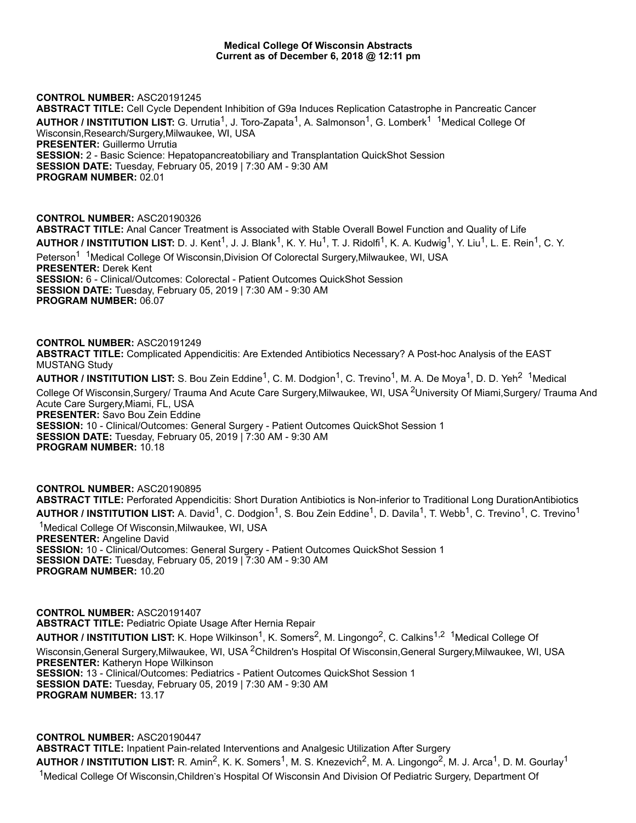#### **Medical College Of Wisconsin Abstracts Current as of December 6, 2018 @ 12:11 pm**

**CONTROL NUMBER:** ASC20191245

**ABSTRACT TITLE:** Cell Cycle Dependent Inhibition of G9a Induces Replication Catastrophe in Pancreatic Cancer AUTHOR / INSTITUTION LIST: G. Urrutia<sup>1</sup>, J. Toro-Zapata<sup>1</sup>, A. Salmonson<sup>1</sup>, G. Lomberk<sup>1 1</sup>Medical College Of Wisconsin,Research/Surgery,Milwaukee, WI, USA **PRESENTER:** Guillermo Urrutia **SESSION:** 2 - Basic Science: Hepatopancreatobiliary and Transplantation QuickShot Session **SESSION DATE:** Tuesday, February 05, 2019 | 7:30 AM - 9:30 AM **PROGRAM NUMBER:** 02.01

**CONTROL NUMBER:** ASC20190326 **ABSTRACT TITLE:** Anal Cancer Treatment is Associated with Stable Overall Bowel Function and Quality of Life **AUTHOR / INSTITUTION LIST:** D. J. Kent<sup>1</sup>, J. J. Blank<sup>1</sup>, K. Y. Hu<sup>1</sup>, T. J. Ridolfi<sup>1</sup>, K. A. Kudwig<sup>1</sup>, Y. Liu<sup>1</sup>, L. E. Rein<sup>1</sup>, C. Y. Peterson<sup>1</sup> <sup>1</sup>Medical College Of Wisconsin,Division Of Colorectal Surgery,Milwaukee, WI, USA **PRESENTER:** Derek Kent **SESSION:** 6 - Clinical/Outcomes: Colorectal - Patient Outcomes QuickShot Session **SESSION DATE:** Tuesday, February 05, 2019 | 7:30 AM - 9:30 AM **PROGRAM NUMBER:** 06.07

**CONTROL NUMBER:** ASC20191249 **ABSTRACT TITLE:** Complicated Appendicitis: Are Extended Antibiotics Necessary? A Post-hoc Analysis of the EAST MUSTANG Study AUTHOR / INSTITUTION LIST: S. Bou Zein Eddine<sup>1</sup>, C. M. Dodgion<sup>1</sup>, C. Trevino<sup>1</sup>, M. A. De Moya<sup>1</sup>, D. D. Yeh<sup>2 1</sup>Medical

College Of Wisconsin,Surgery/ Trauma And Acute Care Surgery,Milwaukee, WI, USA <sup>2</sup>University Of Miami,Surgery/ Trauma And Acute Care Surgery,Miami, FL, USA **PRESENTER:** Savo Bou Zein Eddine

**SESSION:** 10 - Clinical/Outcomes: General Surgery - Patient Outcomes QuickShot Session 1 **SESSION DATE:** Tuesday, February 05, 2019 | 7:30 AM - 9:30 AM **PROGRAM NUMBER:** 10.18

**CONTROL NUMBER:** ASC20190895 **ABSTRACT TITLE:** Perforated Appendicitis: Short Duration Antibiotics is Non-inferior to Traditional Long DurationAntibiotics AUTHOR / INSTITUTION LIST: A. David<sup>1</sup>, C. Dodgion<sup>1</sup>, S. Bou Zein Eddine<sup>1</sup>, D. Davila<sup>1</sup>, T. Webb<sup>1</sup>, C. Trevino<sup>1</sup>, C. Trevino<sup>1</sup> <sup>1</sup>Medical College Of Wisconsin, Milwaukee, WI, USA **PRESENTER:** Angeline David **SESSION:** 10 - Clinical/Outcomes: General Surgery - Patient Outcomes QuickShot Session 1 **SESSION DATE:** Tuesday, February 05, 2019 | 7:30 AM - 9:30 AM **PROGRAM NUMBER:** 10.20

**CONTROL NUMBER:** ASC20191407 **ABSTRACT TITLE:** Pediatric Opiate Usage After Hernia Repair AUTHOR / INSTITUTION LIST: K. Hope Wilkinson<sup>1</sup>, K. Somers<sup>2</sup>, M. Lingongo<sup>2</sup>, C. Calkins<sup>1,2</sup> <sup>1</sup>Medical College Of Wisconsin,General Surgery,Milwaukee, WI, USA <sup>2</sup>Children's Hospital Of Wisconsin,General Surgery,Milwaukee, WI, USA **PRESENTER:** Katheryn Hope Wilkinson **SESSION:** 13 - Clinical/Outcomes: Pediatrics - Patient Outcomes QuickShot Session 1 **SESSION DATE:** Tuesday, February 05, 2019 | 7:30 AM - 9:30 AM **PROGRAM NUMBER:** 13.17

**CONTROL NUMBER:** ASC20190447 **ABSTRACT TITLE:** Inpatient Pain-related Interventions and Analgesic Utilization After Surgery AUTHOR / INSTITUTION LIST: R. Amin<sup>2</sup>, K. K. Somers<sup>1</sup>, M. S. Knezevich<sup>2</sup>, M. A. Lingongo<sup>2</sup>, M. J. Arca<sup>1</sup>, D. M. Gourlay<sup>1</sup> <sup>1</sup>Medical College Of Wisconsin,Children's Hospital Of Wisconsin And Division Of Pediatric Surgery, Department Of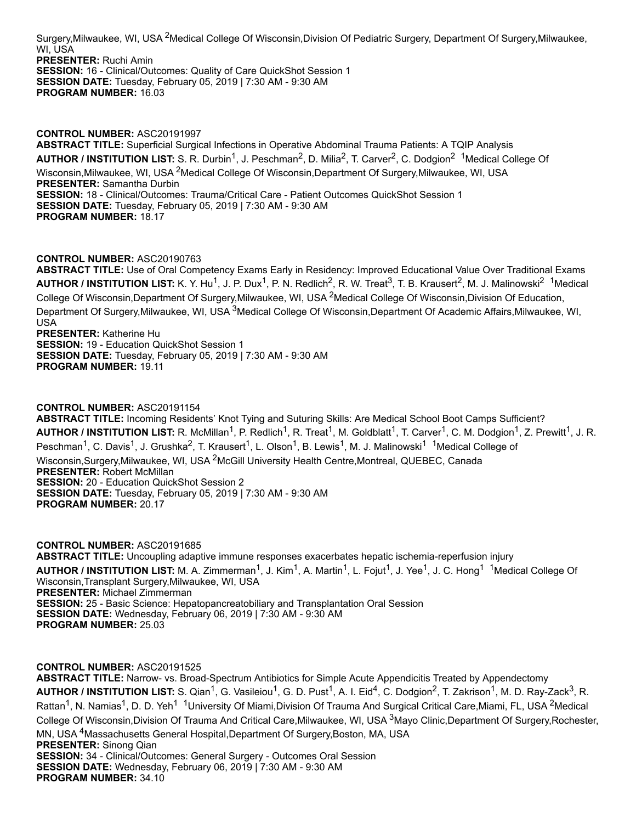Surgery,Milwaukee, WI, USA <sup>2</sup>Medical College Of Wisconsin,Division Of Pediatric Surgery, Department Of Surgery,Milwaukee, WI, USA **PRESENTER:** Ruchi Amin **SESSION:** 16 - Clinical/Outcomes: Quality of Care QuickShot Session 1 **SESSION DATE:** Tuesday, February 05, 2019 | 7:30 AM - 9:30 AM **PROGRAM NUMBER:** 16.03

**CONTROL NUMBER:** ASC20191997 **ABSTRACT TITLE:** Superficial Surgical Infections in Operative Abdominal Trauma Patients: A TQIP Analysis AUTHOR / INSTITUTION LIST: S. R. Durbin<sup>1</sup>, J. Peschman<sup>2</sup>, D. Milia<sup>2</sup>, T. Carver<sup>2</sup>, C. Dodgion<sup>2 1</sup>Medical College Of Wisconsin,Milwaukee, WI, USA <sup>2</sup>Medical College Of Wisconsin,Department Of Surgery,Milwaukee, WI, USA **PRESENTER:** Samantha Durbin **SESSION:** 18 - Clinical/Outcomes: Trauma/Critical Care - Patient Outcomes QuickShot Session 1 **SESSION DATE:** Tuesday, February 05, 2019 | 7:30 AM - 9:30 AM **PROGRAM NUMBER:** 18.17

# **CONTROL NUMBER:** ASC20190763

**ABSTRACT TITLE:** Use of Oral Competency Exams Early in Residency: Improved Educational Value Over Traditional Exams AUTHOR / INSTITUTION LIST: K. Y. Hu<sup>1</sup>, J. P. Dux<sup>1</sup>, P. N. Redlich<sup>2</sup>, R. W. Treat<sup>3</sup>, T. B. Krausert<sup>2</sup>, M. J. Malinowski<sup>2</sup> <sup>1</sup>Medical College Of Wisconsin,Department Of Surgery,Milwaukee, WI, USA <sup>2</sup>Medical College Of Wisconsin,Division Of Education, Department Of Surgery,Milwaukee, WI, USA <sup>3</sup>Medical College Of Wisconsin,Department Of Academic Affairs,Milwaukee, WI, USA **PRESENTER:** Katherine Hu

**SESSION:** 19 - Education QuickShot Session 1 **SESSION DATE:** Tuesday, February 05, 2019 | 7:30 AM - 9:30 AM **PROGRAM NUMBER:** 19.11

# **CONTROL NUMBER:** ASC20191154

**ABSTRACT TITLE:** Incoming Residents' Knot Tying and Suturing Skills: Are Medical School Boot Camps Sufficient? AUTHOR / INSTITUTION LIST: R. McMillan<sup>1</sup>, P. Redlich<sup>1</sup>, R. Treat<sup>1</sup>, M. Goldblatt<sup>1</sup>, T. Carver<sup>1</sup>, C. M. Dodgion<sup>1</sup>, Z. Prewitt<sup>1</sup>, J. R. Peschman<sup>1</sup>, C. Davis<sup>1</sup>, J. Grushka<sup>2</sup>, T. Krausert<sup>1</sup>, L. Olson<sup>1</sup>, B. Lewis<sup>1</sup>, M. J. Malinowski<sup>1 1</sup>Medical College of Wisconsin,Surgery,Milwaukee, WI, USA <sup>2</sup>McGill University Health Centre,Montreal, QUEBEC, Canada **PRESENTER:** Robert McMillan **SESSION:** 20 - Education QuickShot Session 2 **SESSION DATE:** Tuesday, February 05, 2019 | 7:30 AM - 9:30 AM **PROGRAM NUMBER:** 20.17

**CONTROL NUMBER:** ASC20191685 **ABSTRACT TITLE:** Uncoupling adaptive immune responses exacerbates hepatic ischemia-reperfusion injury AUTHOR / INSTITUTION LIST: M. A. Zimmerman<sup>1</sup>, J. Kim<sup>1</sup>, A. Martin<sup>1</sup>, L. Fojut<sup>1</sup>, J. Yee<sup>1</sup>, J. C. Hong<sup>1 1</sup>Medical College Of Wisconsin,Transplant Surgery,Milwaukee, WI, USA **PRESENTER:** Michael Zimmerman **SESSION:** 25 - Basic Science: Hepatopancreatobiliary and Transplantation Oral Session **SESSION DATE:** Wednesday, February 06, 2019 | 7:30 AM - 9:30 AM **PROGRAM NUMBER:** 25.03

## **CONTROL NUMBER:** ASC20191525

**ABSTRACT TITLE:** Narrow- vs. Broad-Spectrum Antibiotics for Simple Acute Appendicitis Treated by Appendectomy AUTHOR / INSTITUTION LIST: S. Qian<sup>1</sup>, G. Vasileiou<sup>1</sup>, G. D. Pust<sup>1</sup>, A. I. Eid<sup>4</sup>, C. Dodgion<sup>2</sup>, T. Zakrison<sup>1</sup>, M. D. Ray-Zack<sup>3</sup>, R. Rattan<sup>1</sup>, N. Namias<sup>1</sup>, D. D. Yeh<sup>1 1</sup>University Of Miami,Division Of Trauma And Surgical Critical Care,Miami, FL, USA <sup>2</sup>Medical College Of Wisconsin,Division Of Trauma And Critical Care,Milwaukee, WI, USA <sup>3</sup>Mayo Clinic,Department Of Surgery,Rochester, MN, USA <sup>4</sup>Massachusetts General Hospital,Department Of Surgery,Boston, MA, USA **PRESENTER:** Sinong Qian **SESSION:** 34 - Clinical/Outcomes: General Surgery - Outcomes Oral Session **SESSION DATE:** Wednesday, February 06, 2019 | 7:30 AM - 9:30 AM **PROGRAM NUMBER:** 34.10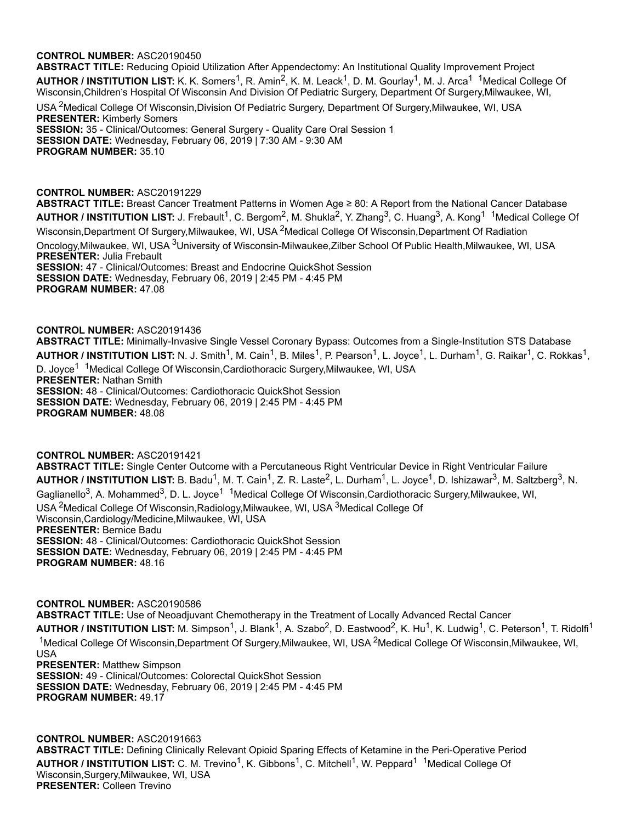**ABSTRACT TITLE:** Reducing Opioid Utilization After Appendectomy: An Institutional Quality Improvement Project AUTHOR / INSTITUTION LIST: K. K. Somers<sup>1</sup>, R. Amin<sup>2</sup>, K. M. Leack<sup>1</sup>, D. M. Gourlay<sup>1</sup>, M. J. Arca<sup>1 1</sup>Medical College Of Wisconsin, Children's Hospital Of Wisconsin And Division Of Pediatric Surgery, Department Of Surgery, Milwaukee, WI,

USA <sup>2</sup>Medical College Of Wisconsin,Division Of Pediatric Surgery, Department Of Surgery,Milwaukee, WI, USA **PRESENTER:** Kimberly Somers **SESSION:** 35 - Clinical/Outcomes: General Surgery - Quality Care Oral Session 1 **SESSION DATE:** Wednesday, February 06, 2019 | 7:30 AM - 9:30 AM **PROGRAM NUMBER:** 35.10

### **CONTROL NUMBER:** ASC20191229

**ABSTRACT TITLE:** Breast Cancer Treatment Patterns in Women Age ≥ 80: A Report from the National Cancer Database AUTHOR / INSTITUTION LIST: J. Frebault<sup>1</sup>, C. Bergom<sup>2</sup>, M. Shukla<sup>2</sup>, Y. Zhang<sup>3</sup>, C. Huang<sup>3</sup>, A. Kong<sup>1 1</sup>Medical College Of Wisconsin,Department Of Surgery,Milwaukee, WI, USA <sup>2</sup>Medical College Of Wisconsin,Department Of Radiation Oncology,Milwaukee, WI, USA <sup>3</sup>University of Wisconsin-Milwaukee,Zilber School Of Public Health,Milwaukee, WI, USA **PRESENTER:** Julia Frebault **SESSION:** 47 - Clinical/Outcomes: Breast and Endocrine QuickShot Session **SESSION DATE:** Wednesday, February 06, 2019 | 2:45 PM - 4:45 PM **PROGRAM NUMBER:** 47.08

### **CONTROL NUMBER:** ASC20191436

**PROGRAM NUMBER:** 48.08

**ABSTRACT TITLE:** Minimally-Invasive Single Vessel Coronary Bypass: Outcomes from a Single-Institution STS Database <code>AUTHOR</code> / INSTITUTION LIST: N. J. Smith<sup>1</sup>, M. Cain<sup>1</sup>, B. Miles<sup>1</sup>, P. Pearson<sup>1</sup>, L. Joyce<sup>1</sup>, L. Durham<sup>1</sup>, G. Raikar<sup>1</sup>, C. Rokkas<sup>1</sup>, D. Joyce<sup>1 1</sup>Medical College Of Wisconsin,Cardiothoracic Surgery,Milwaukee, WI, USA **PRESENTER:** Nathan Smith **SESSION:** 48 - Clinical/Outcomes: Cardiothoracic QuickShot Session **SESSION DATE:** Wednesday, February 06, 2019 | 2:45 PM - 4:45 PM

**CONTROL NUMBER:** ASC20191421 **ABSTRACT TITLE:** Single Center Outcome with a Percutaneous Right Ventricular Device in Right Ventricular Failure AUTHOR / INSTITUTION LIST: B. Badu<sup>1</sup>, M. T. Cain<sup>1</sup>, Z. R. Laste<sup>2</sup>, L. Durham<sup>1</sup>, L. Joyce<sup>1</sup>, D. Ishizawar<sup>3</sup>, M. Saltzberg<sup>3</sup>, N. Gaglianello<sup>3</sup>, A. Mohammed<sup>3</sup>, D. L. Joyce<sup>1 1</sup>Medical College Of Wisconsin,Cardiothoracic Surgery,Milwaukee, WI, USA <sup>2</sup>Medical College Of Wisconsin,Radiology,Milwaukee, WI, USA <sup>3</sup>Medical College Of Wisconsin,Cardiology/Medicine,Milwaukee, WI, USA **PRESENTER:** Bernice Badu **SESSION:** 48 - Clinical/Outcomes: Cardiothoracic QuickShot Session **SESSION DATE:** Wednesday, February 06, 2019 | 2:45 PM - 4:45 PM **PROGRAM NUMBER:** 48.16

**CONTROL NUMBER:** ASC20190586 **ABSTRACT TITLE:** Use of Neoadjuvant Chemotherapy in the Treatment of Locally Advanced Rectal Cancer AUTHOR / INSTITUTION LIST: M. Simpson<sup>1</sup>, J. Blank<sup>1</sup>, A. Szabo<sup>2</sup>, D. Eastwood<sup>2</sup>, K. Hu<sup>1</sup>, K. Ludwig<sup>1</sup>, C. Peterson<sup>1</sup>, T. Ridolfi<sup>1</sup> <sup>1</sup>Medical College Of Wisconsin,Department Of Surgery,Milwaukee, WI, USA <sup>2</sup>Medical College Of Wisconsin,Milwaukee, WI, USA **PRESENTER:** Matthew Simpson **SESSION:** 49 - Clinical/Outcomes: Colorectal QuickShot Session **SESSION DATE:** Wednesday, February 06, 2019 | 2:45 PM - 4:45 PM **PROGRAM NUMBER:** 49.17

**CONTROL NUMBER:** ASC20191663 **ABSTRACT TITLE:** Defining Clinically Relevant Opioid Sparing Effects of Ketamine in the Peri-Operative Period AUTHOR / INSTITUTION LIST: C. M. Trevino<sup>1</sup>, K. Gibbons<sup>1</sup>, C. Mitchell<sup>1</sup>, W. Peppard<sup>1 1</sup>Medical College Of Wisconsin,Surgery,Milwaukee, WI, USA **PRESENTER:** Colleen Trevino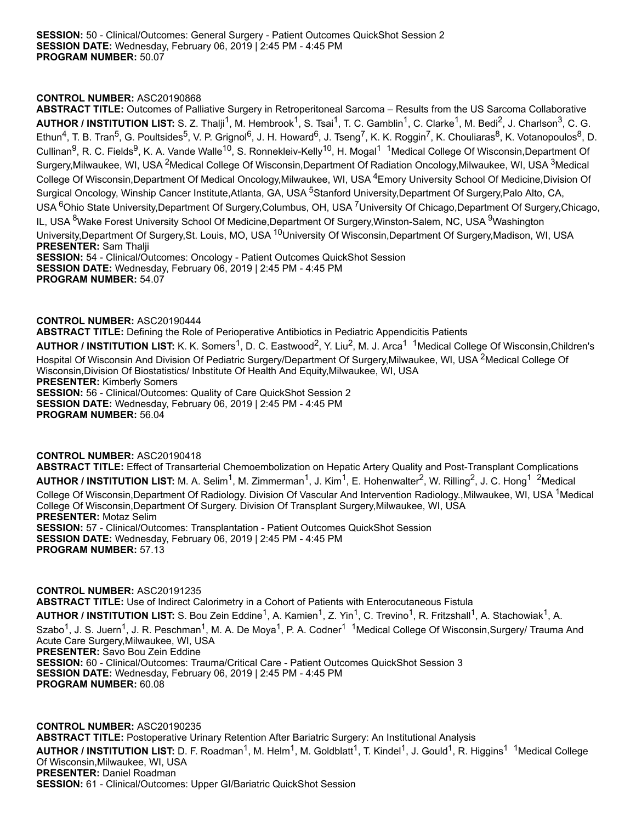**ABSTRACT TITLE:** Outcomes of Palliative Surgery in Retroperitoneal Sarcoma – Results from the US Sarcoma Collaborative AUTHOR / INSTITUTION LIST: S. Z. Thalji<sup>1</sup>, M. Hembrook<sup>1</sup>, S. Tsai<sup>1</sup>, T. C. Gamblin<sup>1</sup>, C. Clarke<sup>1</sup>, M. Bedi<sup>2</sup>, J. Charlson<sup>3</sup>, C. G. Ethun<sup>4</sup>, T. B. Tran<sup>5</sup>, G. Poultsides<sup>5</sup>, V. P. Grignol<sup>6</sup>, J. H. Howard<sup>6</sup>, J. Tseng<sup>7</sup>, K. K. Roggin<sup>7</sup>, K. Chouliaras<sup>8</sup>, K. Votanopoulos<sup>8</sup>, D. Cullinan<sup>9</sup>, R. C. Fields<sup>9</sup>, K. A. Vande Walle<sup>10</sup>, S. Ronnekleiv-Kelly<sup>10</sup>, H. Mogal<sup>1 1</sup>Medical College Of Wisconsin,Department Of Surgery,Milwaukee, WI, USA <sup>2</sup>Medical College Of Wisconsin,Department Of Radiation Oncology,Milwaukee, WI, USA <sup>3</sup>Medical College Of Wisconsin,Department Of Medical Oncology,Milwaukee, WI, USA <sup>4</sup>Emory University School Of Medicine,Division Of Surgical Oncology, Winship Cancer Institute,Atlanta, GA, USA <sup>5</sup>Stanford University,Department Of Surgery,Palo Alto, CA, USA <sup>6</sup>Ohio State University,Department Of Surgery,Columbus, OH, USA <sup>7</sup>University Of Chicago,Department Of Surgery,Chicago, IL, USA <sup>8</sup>Wake Forest University School Of Medicine,Department Of Surgery,Winston-Salem, NC, USA <sup>9</sup>Washington University,Department Of Surgery,St. Louis, MO, USA <sup>10</sup>University Of Wisconsin,Department Of Surgery,Madison, WI, USA **PRESENTER:** Sam Thalji **SESSION:** 54 - Clinical/Outcomes: Oncology - Patient Outcomes QuickShot Session **SESSION DATE:** Wednesday, February 06, 2019 | 2:45 PM - 4:45 PM **PROGRAM NUMBER:** 54.07

#### **CONTROL NUMBER:** ASC20190444

**ABSTRACT TITLE:** Defining the Role of Perioperative Antibiotics in Pediatric Appendicitis Patients

AUTHOR / INSTITUTION LIST: K. K. Somers<sup>1</sup>, D. C. Eastwood<sup>2</sup>, Y. Liu<sup>2</sup>, M. J. Arca<sup>1 1</sup>Medical College Of Wisconsin,Children's Hospital Of Wisconsin And Division Of Pediatric Surgery/Department Of Surgery,Milwaukee, WI, USA <sup>2</sup>Medical College Of Wisconsin,Division Of Biostatistics/ Inbstitute Of Health And Equity,Milwaukee, WI, USA **PRESENTER:** Kimberly Somers **SESSION:** 56 - Clinical/Outcomes: Quality of Care QuickShot Session 2 **SESSION DATE:** Wednesday, February 06, 2019 | 2:45 PM - 4:45 PM **PROGRAM NUMBER:** 56.04

#### **CONTROL NUMBER:** ASC20190418

**ABSTRACT TITLE:** Effect of Transarterial Chemoembolization on Hepatic Artery Quality and Post-Transplant Complications AUTHOR / INSTITUTION LIST: M. A. Selim<sup>1</sup>, M. Zimmerman<sup>1</sup>, J. Kim<sup>1</sup>, E. Hohenwalter<sup>2</sup>, W. Rilling<sup>2</sup>, J. C. Hong<sup>1 2</sup>Medical College Of Wisconsin,Department Of Radiology. Division Of Vascular And Intervention Radiology.,Milwaukee, WI, USA <sup>1</sup>Medical College Of Wisconsin,Department Of Surgery. Division Of Transplant Surgery,Milwaukee, WI, USA **PRESENTER:** Motaz Selim **SESSION:** 57 - Clinical/Outcomes: Transplantation - Patient Outcomes QuickShot Session **SESSION DATE:** Wednesday, February 06, 2019 | 2:45 PM - 4:45 PM **PROGRAM NUMBER:** 57.13

**CONTROL NUMBER:** ASC20191235 **ABSTRACT TITLE:** Use of Indirect Calorimetry in a Cohort of Patients with Enterocutaneous Fistula AUTHOR / INSTITUTION LIST: S. Bou Zein Eddine<sup>1</sup>, A. Kamien<sup>1</sup>, Z. Yin<sup>1</sup>, C. Trevino<sup>1</sup>, R. Fritzshall<sup>1</sup>, A. Stachowiak<sup>1</sup>, A. Szabo<sup>1</sup>, J. S. Juern<sup>1</sup>, J. R. Peschman<sup>1</sup>, M. A. De Moya<sup>1</sup>, P. A. Codner<sup>1 1</sup>Medical College Of Wisconsin,Surgery/ Trauma And Acute Care Surgery,Milwaukee, WI, USA **PRESENTER:** Savo Bou Zein Eddine **SESSION:** 60 - Clinical/Outcomes: Trauma/Critical Care - Patient Outcomes QuickShot Session 3 **SESSION DATE:** Wednesday, February 06, 2019 | 2:45 PM - 4:45 PM **PROGRAM NUMBER:** 60.08

**CONTROL NUMBER:** ASC20190235 **ABSTRACT TITLE:** Postoperative Urinary Retention After Bariatric Surgery: An Institutional Analysis AUTHOR / INSTITUTION LIST: D. F. Roadman<sup>1</sup>, M. Helm<sup>1</sup>, M. Goldblatt<sup>1</sup>, T. Kindel<sup>1</sup>, J. Gould<sup>1</sup>, R. Higgins<sup>1 1</sup>Medical College Of Wisconsin,Milwaukee, WI, USA **PRESENTER:** Daniel Roadman **SESSION:** 61 - Clinical/Outcomes: Upper GI/Bariatric QuickShot Session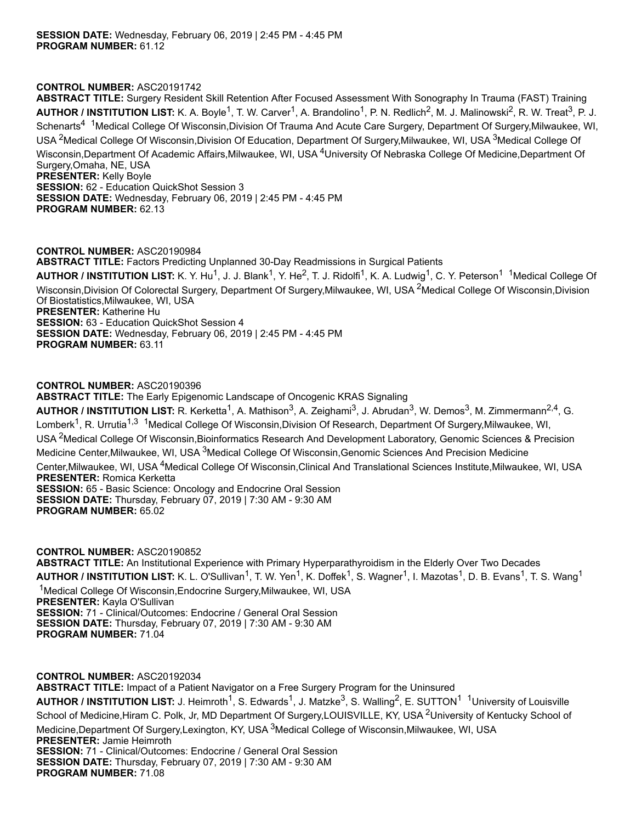**ABSTRACT TITLE:** Surgery Resident Skill Retention After Focused Assessment With Sonography In Trauma (FAST) Training AUTHOR / INSTITUTION LIST: K. A. Boyle<sup>1</sup>, T. W. Carver<sup>1</sup>, A. Brandolino<sup>1</sup>, P. N. Redlich<sup>2</sup>, M. J. Malinowski<sup>2</sup>, R. W. Treat<sup>3</sup>, P. J. Schenarts<sup>4 1</sup>Medical College Of Wisconsin,Division Of Trauma And Acute Care Surgery, Department Of Surgery,Milwaukee, WI, USA <sup>2</sup>Medical College Of Wisconsin,Division Of Education, Department Of Surgery,Milwaukee, WI, USA <sup>3</sup>Medical College Of Wisconsin,Department Of Academic Affairs,Milwaukee, WI, USA <sup>4</sup>University Of Nebraska College Of Medicine,Department Of Surgery,Omaha, NE, USA **PRESENTER:** Kelly Boyle **SESSION:** 62 - Education QuickShot Session 3 **SESSION DATE:** Wednesday, February 06, 2019 | 2:45 PM - 4:45 PM **PROGRAM NUMBER:** 62.13

## **CONTROL NUMBER:** ASC20190984

**ABSTRACT TITLE:** Factors Predicting Unplanned 30-Day Readmissions in Surgical Patients

AUTHOR / INSTITUTION LIST: K. Y. Hu<sup>1</sup>, J. J. Blank<sup>1</sup>, Y. He<sup>2</sup>, T. J. Ridolfi<sup>1</sup>, K. A. Ludwig<sup>1</sup>, C. Y. Peterson<sup>1 1</sup>Medical College Of Wisconsin,Division Of Colorectal Surgery, Department Of Surgery,Milwaukee, WI, USA <sup>2</sup>Medical College Of Wisconsin,Division Of Biostatistics,Milwaukee, WI, USA **PRESENTER:** Katherine Hu **SESSION:** 63 - Education QuickShot Session 4 **SESSION DATE:** Wednesday, February 06, 2019 | 2:45 PM - 4:45 PM **PROGRAM NUMBER:** 63.11

## **CONTROL NUMBER:** ASC20190396

**ABSTRACT TITLE:** The Early Epigenomic Landscape of Oncogenic KRAS Signaling

AUTHOR / INSTITUTION LIST: R. Kerketta<sup>1</sup>, A. Mathison<sup>3</sup>, A. Zeighami<sup>3</sup>, J. Abrudan<sup>3</sup>, W. Demos<sup>3</sup>, M. Zimmermann<sup>2,4</sup>, G. Lomberk<sup>1</sup>, R. Urrutia<sup>1,3</sup> <sup>1</sup>Medical College Of Wisconsin,Division Of Research, Department Of Surgery,Milwaukee, WI, USA <sup>2</sup>Medical College Of Wisconsin,Bioinformatics Research And Development Laboratory, Genomic Sciences & Precision Medicine Center,Milwaukee, WI, USA <sup>3</sup>Medical College Of Wisconsin,Genomic Sciences And Precision Medicine Center,Milwaukee, WI, USA <sup>4</sup>Medical College Of Wisconsin,Clinical And Translational Sciences Institute,Milwaukee, WI, USA **PRESENTER:** Romica Kerketta **SESSION:** 65 - Basic Science: Oncology and Endocrine Oral Session **SESSION DATE:** Thursday, February 07, 2019 | 7:30 AM - 9:30 AM **PROGRAM NUMBER:** 65.02

**CONTROL NUMBER:** ASC20190852 **ABSTRACT TITLE:** An Institutional Experience with Primary Hyperparathyroidism in the Elderly Over Two Decades **AUTHOR / INSTITUTION LIST:** K. L. O'Sullivan<sup>1</sup>, T. W. Yen<sup>1</sup>, K. Doffek<sup>1</sup>, S. Wagner<sup>1</sup>, I. Mazotas<sup>1</sup>, D. B. Evans<sup>1</sup>, T. S. Wang<sup>1</sup> <sup>1</sup>Medical College Of Wisconsin, Endocrine Surgery, Milwaukee, WI, USA **PRESENTER:** Kayla O'Sullivan **SESSION:** 71 - Clinical/Outcomes: Endocrine / General Oral Session **SESSION DATE:** Thursday, February 07, 2019 | 7:30 AM - 9:30 AM **PROGRAM NUMBER:** 71.04

**CONTROL NUMBER:** ASC20192034

**ABSTRACT TITLE:** Impact of a Patient Navigator on a Free Surgery Program for the Uninsured

AUTHOR / INSTITUTION LIST: J. Heimroth<sup>1</sup>, S. Edwards<sup>1</sup>, J. Matzke<sup>3</sup>, S. Walling<sup>2</sup>, E. SUTTON<sup>1 1</sup>University of Louisville School of Medicine, Hiram C. Polk, Jr, MD Department Of Surgery, LOUISVILLE, KY, USA <sup>2</sup>University of Kentucky School of Medicine,Department Of Surgery,Lexington, KY, USA <sup>3</sup>Medical College of Wisconsin,Milwaukee, WI, USA **PRESENTER:** Jamie Heimroth **SESSION:** 71 - Clinical/Outcomes: Endocrine / General Oral Session **SESSION DATE:** Thursday, February 07, 2019 | 7:30 AM - 9:30 AM

**PROGRAM NUMBER:** 71.08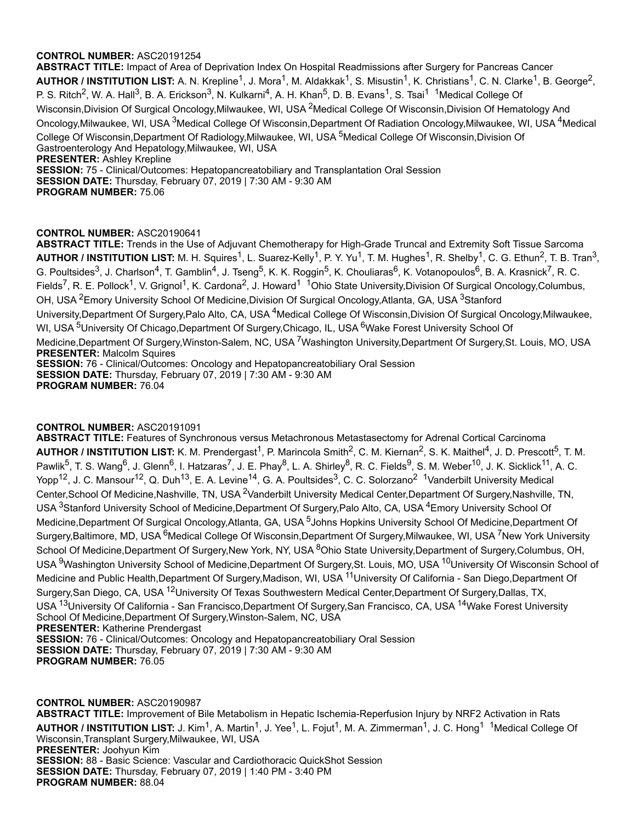**ABSTRACT TITLE:** Impact of Area of Deprivation Index On Hospital Readmissions after Surgery for Pancreas Cancer AUTHOR / INSTITUTION LIST: A. N. Krepline<sup>1</sup>, J. Mora<sup>1</sup>, M. Aldakkak<sup>1</sup>, S. Misustin<sup>1</sup>, K. Christians<sup>1</sup>, C. N. Clarke<sup>1</sup>, B. George<sup>2</sup>, P. S. Ritch<sup>2</sup>, W. A. Hall<sup>3</sup>, B. A. Erickson<sup>3</sup>, N. Kulkarni<sup>4</sup>, A. H. Khan<sup>5</sup>, D. B. Evans<sup>1</sup>, S. Tsai<sup>1 1</sup>Medical College Of Wisconsin,Division Of Surgical Oncology,Milwaukee, WI, USA <sup>2</sup>Medical College Of Wisconsin,Division Of Hematology And Oncology,Milwaukee, WI, USA <sup>3</sup>Medical College Of Wisconsin,Department Of Radiation Oncology,Milwaukee, WI, USA <sup>4</sup>Medical College Of Wisconsin,Department Of Radiology,Milwaukee, WI, USA <sup>5</sup>Medical College Of Wisconsin,Division Of Gastroenterology And Hepatology,Milwaukee, WI, USA **PRESENTER:** Ashley Krepline **SESSION:** 75 - Clinical/Outcomes: Hepatopancreatobiliary and Transplantation Oral Session **SESSION DATE:** Thursday, February 07, 2019 | 7:30 AM - 9:30 AM **PROGRAM NUMBER:** 75.06

# **CONTROL NUMBER:** ASC20190641

**ABSTRACT TITLE:** Trends in the Use of Adjuvant Chemotherapy for High-Grade Truncal and Extremity Soft Tissue Sarcoma AUTHOR / INSTITUTION LIST: M. H. Squires<sup>1</sup>, L. Suarez-Kelly<sup>1</sup>, P. Y. Yu<sup>1</sup>, T. M. Hughes<sup>1</sup>, R. Shelby<sup>1</sup>, C. G. Ethun<sup>2</sup>, T. B. Tran<sup>3</sup>, G. Poultsides<sup>3</sup>, J. Charlson<sup>4</sup>, T. Gamblin<sup>4</sup>, J. Tseng<sup>5</sup>, K. K. Roggin<sup>5</sup>, K. Chouliaras<sup>6</sup>, K. Votanopoulos<sup>6</sup>, B. A. Krasnick<sup>7</sup>, R. C. Fields<sup>7</sup>, R. E. Pollock<sup>1</sup>, V. Grignol<sup>1</sup>, K. Cardona<sup>2</sup>, J. Howard<sup>1</sup> <sup>1</sup>Ohio State University,Division Of Surgical Oncology,Columbus, OH, USA <sup>2</sup>Emory University School Of Medicine, Division Of Surgical Oncology, Atlanta, GA, USA <sup>3</sup>Stanford University,Department Of Surgery,Palo Alto, CA, USA <sup>4</sup>Medical College Of Wisconsin,Division Of Surgical Oncology,Milwaukee, WI, USA <sup>5</sup>University Of Chicago,Department Of Surgery,Chicago, IL, USA <sup>6</sup>Wake Forest University School Of Medicine,Department Of Surgery,Winston-Salem, NC, USA <sup>7</sup>Washington University,Department Of Surgery,St. Louis, MO, USA **PRESENTER:** Malcolm Squires **SESSION:** 76 - Clinical/Outcomes: Oncology and Hepatopancreatobiliary Oral Session **SESSION DATE:** Thursday, February 07, 2019 | 7:30 AM - 9:30 AM **PROGRAM NUMBER:** 76.04

## **CONTROL NUMBER:** ASC20191091

**ABSTRACT TITLE:** Features of Synchronous versus Metachronous Metastasectomy for Adrenal Cortical Carcinoma AUTHOR / INSTITUTION LIST: K. M. Prendergast<sup>1</sup>, P. Marincola Smith<sup>2</sup>, C. M. Kiernan<sup>2</sup>, S. K. Maithel<sup>4</sup>, J. D. Prescott<sup>5</sup>, T. M. Pawlik<sup>5</sup>, T. S. Wang<sup>6</sup>, J. Glenn<sup>6</sup>, I. Hatzaras<sup>7</sup>, J. E. Phay<sup>8</sup>, L. A. Shirley<sup>8</sup>, R. C. Fields<sup>9</sup>, S. M. Weber<sup>10</sup>, J. K. Sicklick<sup>11</sup>, A. C. Yopp<sup>12</sup>, J. C. Mansour<sup>12</sup>, Q. Duh<sup>13</sup>, E. A. Levine<sup>14</sup>, G. A. Poultsides<sup>3</sup>, C. C. Solorzano<sup>2</sup> <sup>1</sup>Vanderbilt University Medical Center,School Of Medicine,Nashville, TN, USA <sup>2</sup>Vanderbilt University Medical Center,Department Of Surgery,Nashville, TN, USA <sup>3</sup>Stanford University School of Medicine,Department Of Surgery,Palo Alto, CA, USA <sup>4</sup>Emory University School Of Medicine,Department Of Surgical Oncology,Atlanta, GA, USA <sup>5</sup>Johns Hopkins University School Of Medicine,Department Of Surgery,Baltimore, MD, USA <sup>6</sup>Medical College Of Wisconsin,Department Of Surgery,Milwaukee, WI, USA <sup>7</sup>New York University School Of Medicine,Department Of Surgery,New York, NY, USA <sup>8</sup>Ohio State University,Department of Surgery,Columbus, OH, USA <sup>9</sup>Washington University School of Medicine,Department Of Surgery,St. Louis, MO, USA <sup>10</sup>University Of Wisconsin School of Medicine and Public Health,Department Of Surgery,Madison, WI, USA <sup>11</sup>University Of California - San Diego,Department Of Surgery,San Diego, CA, USA <sup>12</sup>University Of Texas Southwestern Medical Center,Department Of Surgery,Dallas, TX, USA <sup>13</sup>University Of California - San Francisco,Department Of Surgery,San Francisco, CA, USA <sup>14</sup>Wake Forest University School Of Medicine,Department Of Surgery,Winston-Salem, NC, USA **PRESENTER:** Katherine Prendergast **SESSION:** 76 - Clinical/Outcomes: Oncology and Hepatopancreatobiliary Oral Session **SESSION DATE:** Thursday, February 07, 2019 | 7:30 AM - 9:30 AM **PROGRAM NUMBER:** 76.05

**CONTROL NUMBER:** ASC20190987 **ABSTRACT TITLE:** Improvement of Bile Metabolism in Hepatic Ischemia-Reperfusion Injury by NRF2 Activation in Rats AUTHOR / INSTITUTION LIST: J. Kim<sup>1</sup>, A. Martin<sup>1</sup>, J. Yee<sup>1</sup>, L. Fojut<sup>1</sup>, M. A. Zimmerman<sup>1</sup>, J. C. Hong<sup>1 1</sup>Medical College Of Wisconsin,Transplant Surgery,Milwaukee, WI, USA **PRESENTER:** Joohyun Kim **SESSION:** 88 - Basic Science: Vascular and Cardiothoracic QuickShot Session **SESSION DATE:** Thursday, February 07, 2019 | 1:40 PM - 3:40 PM **PROGRAM NUMBER:** 88.04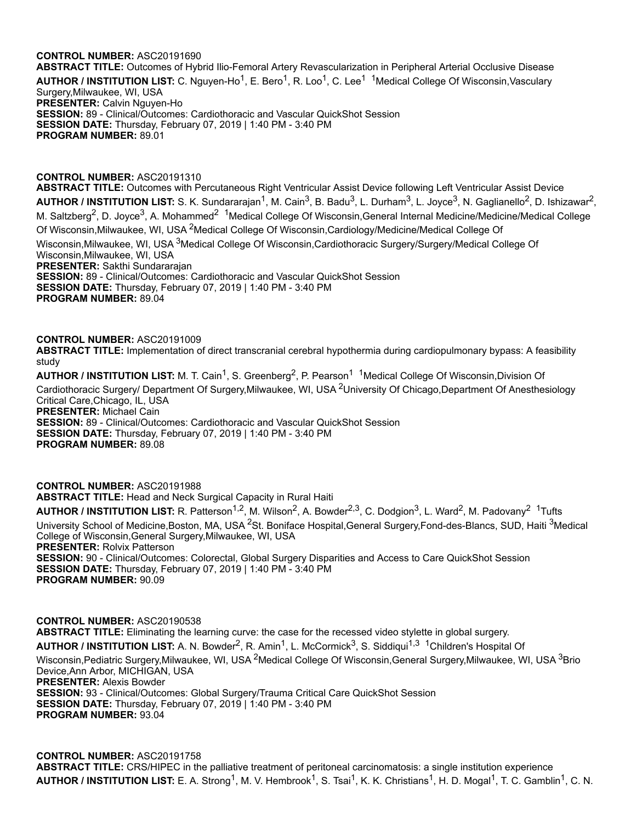**ABSTRACT TITLE:** Outcomes of Hybrid Ilio-Femoral Artery Revascularization in Peripheral Arterial Occlusive Disease AUTHOR / INSTITUTION LIST: C. Nguyen-Ho<sup>1</sup>, E. Bero<sup>1</sup>, R. Loo<sup>1</sup>, C. Lee<sup>1 1</sup>Medical College Of Wisconsin,Vasculary Surgery,Milwaukee, WI, USA **PRESENTER:** Calvin Nguyen-Ho **SESSION:** 89 - Clinical/Outcomes: Cardiothoracic and Vascular QuickShot Session **SESSION DATE:** Thursday, February 07, 2019 | 1:40 PM - 3:40 PM **PROGRAM NUMBER:** 89.01

**CONTROL NUMBER:** ASC20191310

**ABSTRACT TITLE:** Outcomes with Percutaneous Right Ventricular Assist Device following Left Ventricular Assist Device AUTHOR / INSTITUTION LIST: S. K. Sundararajan<sup>1</sup>, M. Cain<sup>3</sup>, B. Badu<sup>3</sup>, L. Durham<sup>3</sup>, L. Joyce<sup>3</sup>, N. Gaglianello<sup>2</sup>, D. Ishizawar<sup>2</sup>, M. Saltzberg<sup>2</sup>, D. Joyce<sup>3</sup>, A. Mohammed<sup>2 1</sup>Medical College Of Wisconsin,General Internal Medicine/Medicine/Medical College Of Wisconsin,Milwaukee, WI, USA <sup>2</sup>Medical College Of Wisconsin,Cardiology/Medicine/Medical College Of Wisconsin,Milwaukee, WI, USA <sup>3</sup>Medical College Of Wisconsin,Cardiothoracic Surgery/Surgery/Medical College Of Wisconsin,Milwaukee, WI, USA **PRESENTER:** Sakthi Sundararajan **SESSION:** 89 - Clinical/Outcomes: Cardiothoracic and Vascular QuickShot Session **SESSION DATE:** Thursday, February 07, 2019 | 1:40 PM - 3:40 PM **PROGRAM NUMBER:** 89.04

**CONTROL NUMBER:** ASC20191009 **ABSTRACT TITLE:** Implementation of direct transcranial cerebral hypothermia during cardiopulmonary bypass: A feasibility study

AUTHOR / INSTITUTION LIST: M. T. Cain<sup>1</sup>, S. Greenberg<sup>2</sup>, P. Pearson<sup>1 1</sup>Medical College Of Wisconsin,Division Of Cardiothoracic Surgery/ Department Of Surgery, Milwaukee, WI, USA <sup>2</sup>University Of Chicago, Department Of Anesthesiology Critical Care,Chicago, IL, USA **PRESENTER:** Michael Cain **SESSION:** 89 - Clinical/Outcomes: Cardiothoracic and Vascular QuickShot Session **SESSION DATE:** Thursday, February 07, 2019 | 1:40 PM - 3:40 PM **PROGRAM NUMBER:** 89.08

**CONTROL NUMBER:** ASC20191988 **ABSTRACT TITLE:** Head and Neck Surgical Capacity in Rural Haiti AUTHOR / INSTITUTION LIST: R. Patterson<sup>1,2</sup>, M. Wilson<sup>2</sup>, A. Bowder<sup>2,3</sup>, C. Dodgion<sup>3</sup>, L. Ward<sup>2</sup>, M. Padovany<sup>2 1</sup>Tufts University School of Medicine,Boston, MA, USA <sup>2</sup>St. Boniface Hospital,General Surgery,Fond-des-Blancs, SUD, Haiti <sup>3</sup>Medical College of Wisconsin,General Surgery,Milwaukee, WI, USA **PRESENTER:** Rolvix Patterson **SESSION:** 90 - Clinical/Outcomes: Colorectal, Global Surgery Disparities and Access to Care QuickShot Session **SESSION DATE:** Thursday, February 07, 2019 | 1:40 PM - 3:40 PM **PROGRAM NUMBER:** 90.09

**CONTROL NUMBER:** ASC20190538 **ABSTRACT TITLE:** Eliminating the learning curve: the case for the recessed video stylette in global surgery. **AUTHOR / INSTITUTION LIST:** A. N. Bowder 2 , R. Amin 1 , L. McCormick 3 , S. Siddiqui 1,3 <sup>1</sup>Children's Hospital Of Wisconsin,Pediatric Surgery,Milwaukee, WI, USA <sup>2</sup>Medical College Of Wisconsin,General Surgery,Milwaukee, WI, USA <sup>3</sup>Brio Device,Ann Arbor, MICHIGAN, USA **PRESENTER:** Alexis Bowder **SESSION:** 93 - Clinical/Outcomes: Global Surgery/Trauma Critical Care QuickShot Session **SESSION DATE:** Thursday, February 07, 2019 | 1:40 PM - 3:40 PM **PROGRAM NUMBER:** 93.04

**CONTROL NUMBER:** ASC20191758 **ABSTRACT TITLE:** CRS/HIPEC in the palliative treatment of peritoneal carcinomatosis: a single institution experience AUTHOR / INSTITUTION LIST: E. A. Strong<sup>1</sup>, M. V. Hembrook<sup>1</sup>, S. Tsai<sup>1</sup>, K. K. Christians<sup>1</sup>, H. D. Mogal<sup>1</sup>, T. C. Gamblin<sup>1</sup>, C. N.